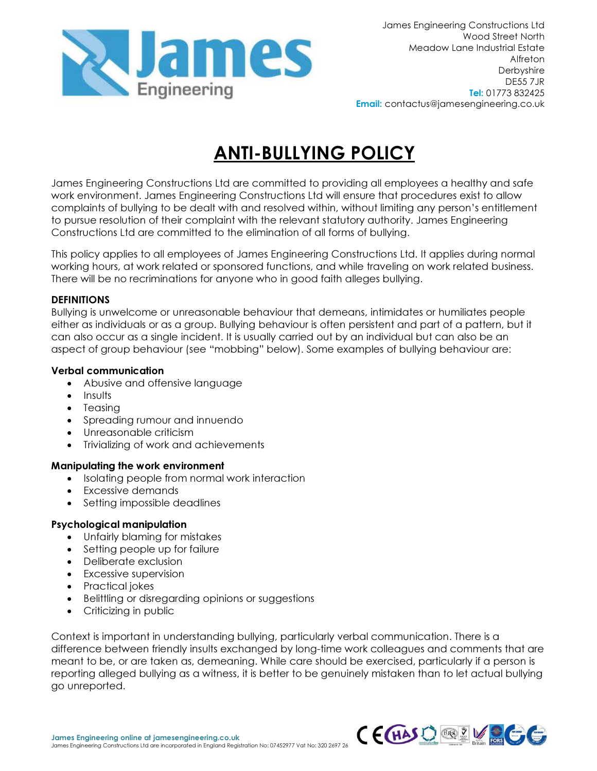

# ANTI-BULLYING POLICY

James Engineering Constructions Ltd are committed to providing all employees a healthy and safe work environment. James Engineering Constructions Ltd will ensure that procedures exist to allow complaints of bullying to be dealt with and resolved within, without limiting any person's entitlement to pursue resolution of their complaint with the relevant statutory authority. James Engineering Constructions Ltd are committed to the elimination of all forms of bullying.

This policy applies to all employees of James Engineering Constructions Ltd. It applies during normal working hours, at work related or sponsored functions, and while traveling on work related business. There will be no recriminations for anyone who in good faith alleges bullying.

#### **DEFINITIONS**

Bullying is unwelcome or unreasonable behaviour that demeans, intimidates or humiliates people either as individuals or as a group. Bullying behaviour is often persistent and part of a pattern, but it can also occur as a single incident. It is usually carried out by an individual but can also be an aspect of group behaviour (see "mobbing" below). Some examples of bullying behaviour are:

#### Verbal communication

- Abusive and offensive language
- Insults
- Teasing
- Spreading rumour and innuendo
- Unreasonable criticism
- Trivializing of work and achievements

# Manipulating the work environment

- Isolating people from normal work interaction
- Excessive demands
- Setting impossible deadlines

# Psychological manipulation

- Unfairly blaming for mistakes
- Setting people up for failure
- Deliberate exclusion
- Excessive supervision
- Practical jokes
- Belittling or disregarding opinions or suggestions
- Criticizing in public

Context is important in understanding bullying, particularly verbal communication. There is a difference between friendly insults exchanged by long-time work colleagues and comments that are meant to be, or are taken as, demeaning. While care should be exercised, particularly if a person is reporting alleged bullying as a witness, it is better to be genuinely mistaken than to let actual bullying go unreported.

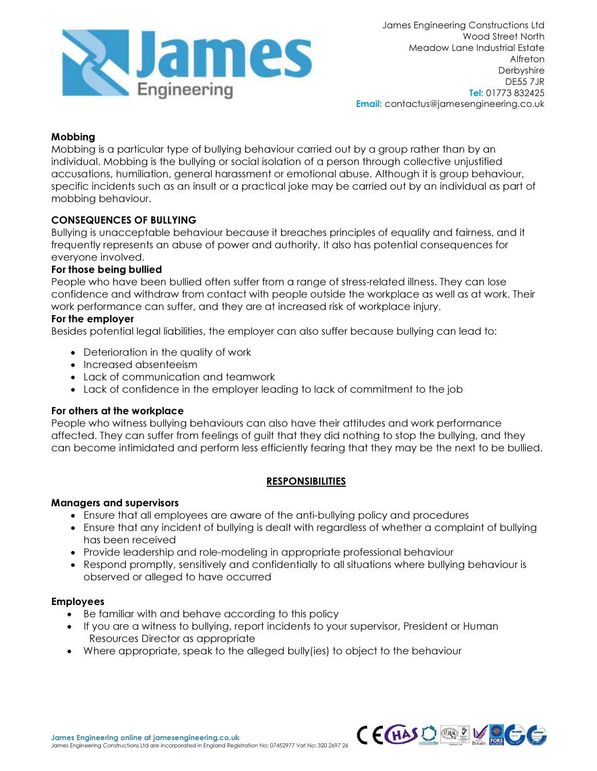

James Engineering Constructions Ltd Wood Street North Meadow Lane Industrial Estate Alfreton **Derbyshire** DE55 7JR Tel: 01773 832425 Email: contactus@jamesengineering.co.uk

# Mobbing

Mobbing is a particular type of bullying behaviour carried out by a group rather than by an individual. Mobbing is the bullying or social isolation of a person through collective unjustified accusations, humiliation, general harassment or emotional abuse. Although it is group behaviour, specific incidents such as an insult or a practical joke may be carried out by an individual as part of mobbing behaviour.

# CONSEQUENCES OF BULLYING

Bullying is unacceptable behaviour because it breaches principles of equality and fairness, and it frequently represents an abuse of power and authority. It also has potential consequences for everyone involved.

#### For those being bullied

People who have been bullied often suffer from a range of stress-related illness. They can lose confidence and withdraw from contact with people outside the workplace as well as at work. Their work performance can suffer, and they are at increased risk of workplace injury.

# For the employer

Besides potential legal liabilities, the employer can also suffer because bullying can lead to:

- Deterioration in the quality of work
- Increased absenteeism
- Lack of communication and teamwork
- Lack of confidence in the employer leading to lack of commitment to the job

#### For others at the workplace

People who witness bullying behaviours can also have their attitudes and work performance affected. They can suffer from feelings of guilt that they did nothing to stop the bullying, and they can become intimidated and perform less efficiently fearing that they may be the next to be bullied.

# **RESPONSIBILITIES**

#### Managers and supervisors

- Ensure that all employees are aware of the anti-bullying policy and procedures
- Ensure that any incident of bullying is dealt with regardless of whether a complaint of bullying has been received
- Provide leadership and role-modeling in appropriate professional behaviour
- Respond promptly, sensitively and confidentially to all situations where bullying behaviour is observed or alleged to have occurred

#### Employees

- Be familiar with and behave according to this policy
- If you are a witness to bullying, report incidents to your supervisor, President or Human Resources Director as appropriate
- Where appropriate, speak to the alleged bully(ies) to object to the behaviour